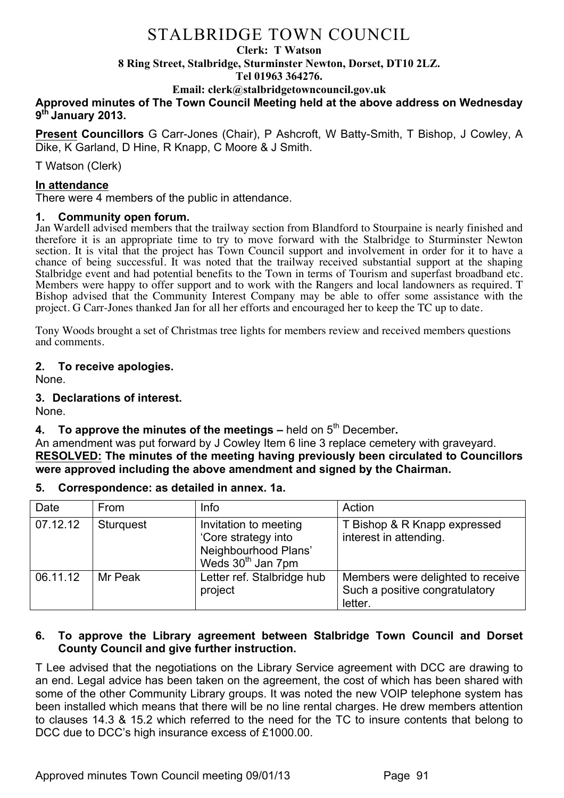#### **Clerk: T Watson**

**8 Ring Street, Stalbridge, Sturminster Newton, Dorset, DT10 2LZ.**

**Tel 01963 364276.** 

**Email: clerk@stalbridgetowncouncil.gov.uk**

## **Approved minutes of The Town Council Meeting held at the above address on Wednesday 9th January 2013.**

**Present Councillors** G Carr-Jones (Chair), P Ashcroft, W Batty-Smith, T Bishop, J Cowley, A Dike, K Garland, D Hine, R Knapp, C Moore & J Smith.

T Watson (Clerk)

## **In attendance**

There were 4 members of the public in attendance.

#### **1. Community open forum.**

Jan Wardell advised members that the trailway section from Blandford to Stourpaine is nearly finished and therefore it is an appropriate time to try to move forward with the Stalbridge to Sturminster Newton section. It is vital that the project has Town Council support and involvement in order for it to have a chance of being successful. It was noted that the trailway received substantial support at the shaping Stalbridge event and had potential benefits to the Town in terms of Tourism and superfast broadband etc. Members were happy to offer support and to work with the Rangers and local landowners as required. T Bishop advised that the Community Interest Company may be able to offer some assistance with the project. G Carr-Jones thanked Jan for all her efforts and encouraged her to keep the TC up to date.

Tony Woods brought a set of Christmas tree lights for members review and received members questions and comments.

## **2. To receive apologies.**

None.

## **3. Declarations of interest.**

None.

## **4. To approve the minutes of the meetings –** held on  $5<sup>th</sup>$  December.

An amendment was put forward by J Cowley Item 6 line 3 replace cemetery with graveyard. **RESOLVED: The minutes of the meeting having previously been circulated to Councillors were approved including the above amendment and signed by the Chairman.**

#### **5. Correspondence: as detailed in annex. 1a.**

| Date     | <b>From</b>      | Info                                                                                                  | Action                                                                         |
|----------|------------------|-------------------------------------------------------------------------------------------------------|--------------------------------------------------------------------------------|
| 07.12.12 | <b>Sturguest</b> | Invitation to meeting<br>'Core strategy into<br>Neighbourhood Plans'<br>Weds 30 <sup>th</sup> Jan 7pm | T Bishop & R Knapp expressed<br>interest in attending.                         |
| 06.11.12 | Mr Peak          | Letter ref. Stalbridge hub<br>project                                                                 | Members were delighted to receive<br>Such a positive congratulatory<br>letter. |

#### **6. To approve the Library agreement between Stalbridge Town Council and Dorset County Council and give further instruction.**

T Lee advised that the negotiations on the Library Service agreement with DCC are drawing to an end. Legal advice has been taken on the agreement, the cost of which has been shared with some of the other Community Library groups. It was noted the new VOIP telephone system has been installed which means that there will be no line rental charges. He drew members attention to clauses 14.3 & 15.2 which referred to the need for the TC to insure contents that belong to DCC due to DCC's high insurance excess of £1000.00.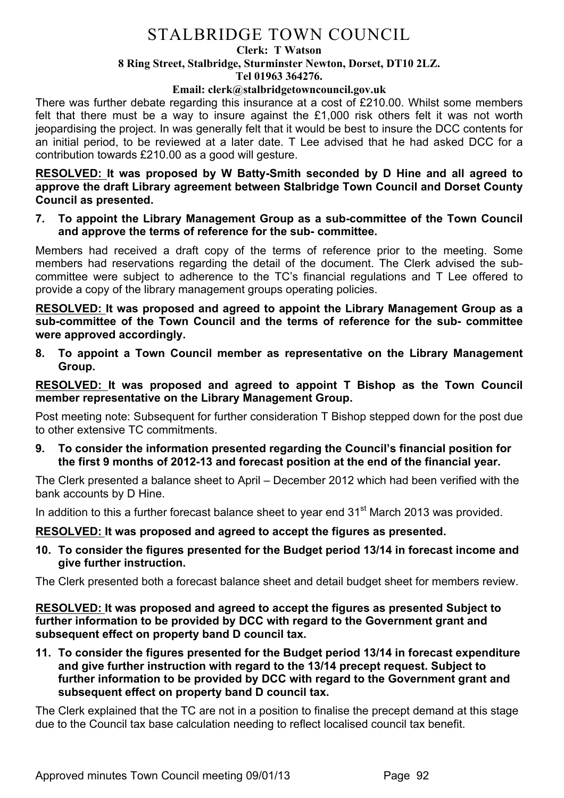#### **Clerk: T Watson**

## **8 Ring Street, Stalbridge, Sturminster Newton, Dorset, DT10 2LZ.**

**Tel 01963 364276.** 

#### **Email: clerk@stalbridgetowncouncil.gov.uk**

There was further debate regarding this insurance at a cost of £210.00. Whilst some members felt that there must be a way to insure against the £1,000 risk others felt it was not worth jeopardising the project. In was generally felt that it would be best to insure the DCC contents for an initial period, to be reviewed at a later date. T Lee advised that he had asked DCC for a contribution towards £210.00 as a good will gesture.

**RESOLVED: It was proposed by W Batty-Smith seconded by D Hine and all agreed to approve the draft Library agreement between Stalbridge Town Council and Dorset County Council as presented.**

**7. To appoint the Library Management Group as a sub-committee of the Town Council and approve the terms of reference for the sub- committee.**

Members had received a draft copy of the terms of reference prior to the meeting. Some members had reservations regarding the detail of the document. The Clerk advised the subcommittee were subject to adherence to the TC's financial regulations and T Lee offered to provide a copy of the library management groups operating policies.

**RESOLVED: It was proposed and agreed to appoint the Library Management Group as a sub-committee of the Town Council and the terms of reference for the sub- committee were approved accordingly.**

**8. To appoint a Town Council member as representative on the Library Management Group.**

**RESOLVED: It was proposed and agreed to appoint T Bishop as the Town Council member representative on the Library Management Group.**

Post meeting note: Subsequent for further consideration T Bishop stepped down for the post due to other extensive TC commitments.

**9. To consider the information presented regarding the Council's financial position for the first 9 months of 2012-13 and forecast position at the end of the financial year.**

The Clerk presented a balance sheet to April – December 2012 which had been verified with the bank accounts by D Hine.

In addition to this a further forecast balance sheet to year end 31<sup>st</sup> March 2013 was provided.

## **RESOLVED: It was proposed and agreed to accept the figures as presented.**

**10. To consider the figures presented for the Budget period 13/14 in forecast income and give further instruction.**

The Clerk presented both a forecast balance sheet and detail budget sheet for members review.

**RESOLVED: It was proposed and agreed to accept the figures as presented Subject to further information to be provided by DCC with regard to the Government grant and subsequent effect on property band D council tax.**

**11. To consider the figures presented for the Budget period 13/14 in forecast expenditure and give further instruction with regard to the 13/14 precept request. Subject to further information to be provided by DCC with regard to the Government grant and subsequent effect on property band D council tax.**

The Clerk explained that the TC are not in a position to finalise the precept demand at this stage due to the Council tax base calculation needing to reflect localised council tax benefit.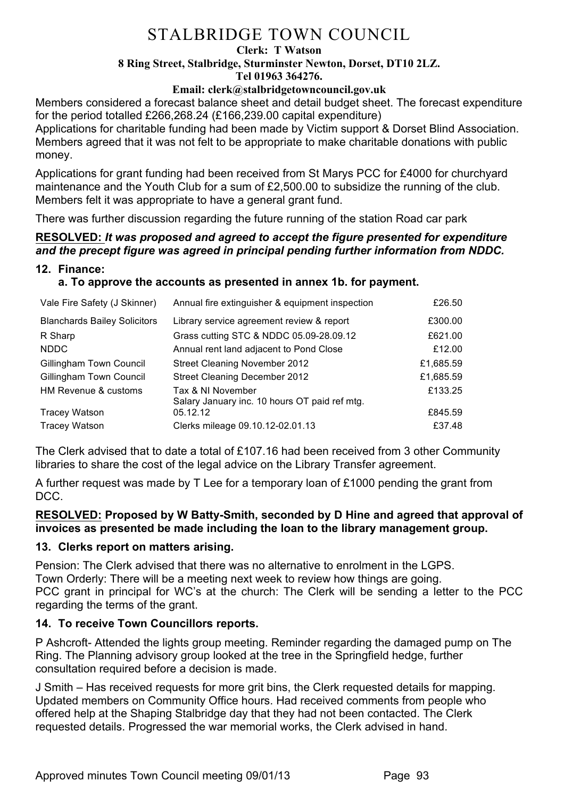#### **Clerk: T Watson**

## **8 Ring Street, Stalbridge, Sturminster Newton, Dorset, DT10 2LZ.**

**Tel 01963 364276.** 

**Email: clerk@stalbridgetowncouncil.gov.uk**

Members considered a forecast balance sheet and detail budget sheet. The forecast expenditure for the period totalled £266,268.24 (£166,239.00 capital expenditure)

Applications for charitable funding had been made by Victim support & Dorset Blind Association. Members agreed that it was not felt to be appropriate to make charitable donations with public money.

Applications for grant funding had been received from St Marys PCC for £4000 for churchyard maintenance and the Youth Club for a sum of £2,500.00 to subsidize the running of the club. Members felt it was appropriate to have a general grant fund.

There was further discussion regarding the future running of the station Road car park

## **RESOLVED:** *It was proposed and agreed to accept the figure presented for expenditure and the precept figure was agreed in principal pending further information from NDDC.*

## **12. Finance:**

## **a. To approve the accounts as presented in annex 1b. for payment.**

| Vale Fire Safety (J Skinner)        | Annual fire extinguisher & equipment inspection                    | £26.50    |
|-------------------------------------|--------------------------------------------------------------------|-----------|
| <b>Blanchards Bailey Solicitors</b> | Library service agreement review & report                          | £300.00   |
| R Sharp                             | Grass cutting STC & NDDC 05.09-28.09.12                            | £621.00   |
| <b>NDDC</b>                         | Annual rent land adjacent to Pond Close                            | £12.00    |
| Gillingham Town Council             | <b>Street Cleaning November 2012</b>                               | £1,685.59 |
| Gillingham Town Council             | Street Cleaning December 2012                                      | £1,685.59 |
| HM Revenue & customs                | Tax & NI November<br>Salary January inc. 10 hours OT paid ref mtg. | £133.25   |
| <b>Tracey Watson</b>                | 05.12.12                                                           | £845.59   |
| <b>Tracey Watson</b>                | Clerks mileage 09.10.12-02.01.13                                   | £37.48    |

The Clerk advised that to date a total of £107.16 had been received from 3 other Community libraries to share the cost of the legal advice on the Library Transfer agreement.

A further request was made by T Lee for a temporary loan of £1000 pending the grant from DCC.

#### **RESOLVED: Proposed by W Batty-Smith, seconded by D Hine and agreed that approval of invoices as presented be made including the loan to the library management group.**

#### **13. Clerks report on matters arising.**

Pension: The Clerk advised that there was no alternative to enrolment in the LGPS. Town Orderly: There will be a meeting next week to review how things are going. PCC grant in principal for WC's at the church: The Clerk will be sending a letter to the PCC regarding the terms of the grant.

## **14. To receive Town Councillors reports.**

P Ashcroft- Attended the lights group meeting. Reminder regarding the damaged pump on The Ring. The Planning advisory group looked at the tree in the Springfield hedge, further consultation required before a decision is made.

J Smith – Has received requests for more grit bins, the Clerk requested details for mapping. Updated members on Community Office hours. Had received comments from people who offered help at the Shaping Stalbridge day that they had not been contacted. The Clerk requested details. Progressed the war memorial works, the Clerk advised in hand.